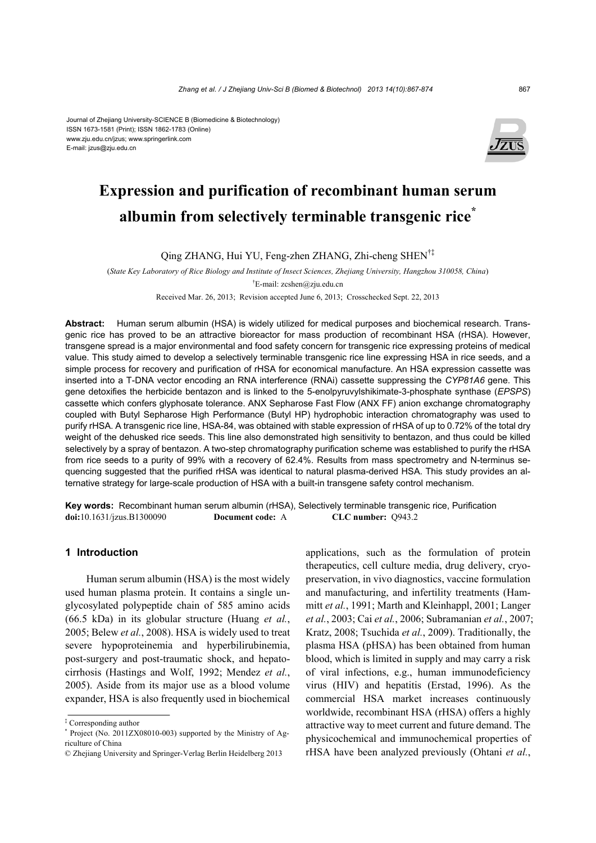#### Journal of Zhejiang University-SCIENCE B (Biomedicine & Biotechnology) ISSN 1673-1581 (Print); ISSN 1862-1783 (Online) www.zju.edu.cn/jzus; www.springerlink.com E-mail: jzus@zju.edu.cn



# **Expression and purification of recombinant human serum albumin from selectively terminable transgenic rice\***

Qing ZHANG, Hui YU, Feng-zhen ZHANG, Zhi-cheng SHEN†‡

(*State Key Laboratory of Rice Biology and Institute of Insect Sciences, Zhejiang University, Hangzhou 310058, China*) † E-mail: zcshen@zju.edu.cn

Received Mar. 26, 2013; Revision accepted June 6, 2013; Crosschecked Sept. 22, 2013

**Abstract:** Human serum albumin (HSA) is widely utilized for medical purposes and biochemical research. Transgenic rice has proved to be an attractive bioreactor for mass production of recombinant HSA (rHSA). However, transgene spread is a major environmental and food safety concern for transgenic rice expressing proteins of medical value. This study aimed to develop a selectively terminable transgenic rice line expressing HSA in rice seeds, and a simple process for recovery and purification of rHSA for economical manufacture. An HSA expression cassette was inserted into a T-DNA vector encoding an RNA interference (RNAi) cassette suppressing the *CYP81A6* gene. This gene detoxifies the herbicide bentazon and is linked to the 5-enolpyruvylshikimate-3-phosphate synthase (*EPSPS*) cassette which confers glyphosate tolerance. ANX Sepharose Fast Flow (ANX FF) anion exchange chromatography coupled with Butyl Sepharose High Performance (Butyl HP) hydrophobic interaction chromatography was used to purify rHSA. A transgenic rice line, HSA-84, was obtained with stable expression of rHSA of up to 0.72% of the total dry weight of the dehusked rice seeds. This line also demonstrated high sensitivity to bentazon, and thus could be killed selectively by a spray of bentazon. A two-step chromatography purification scheme was established to purify the rHSA from rice seeds to a purity of 99% with a recovery of 62.4%. Results from mass spectrometry and N-terminus sequencing suggested that the purified rHSA was identical to natural plasma-derived HSA. This study provides an alternative strategy for large-scale production of HSA with a built-in transgene safety control mechanism.

**Key words:** Recombinant human serum albumin (rHSA), Selectively terminable transgenic rice, Purification **doi:**10.1631/jzus.B1300090 **Document code:** A **CLC number:** Q943.2

## **1 Introduction**

Human serum albumin (HSA) is the most widely used human plasma protein. It contains a single unglycosylated polypeptide chain of 585 amino acids (66.5 kDa) in its globular structure (Huang *et al.*, 2005; Belew *et al.*, 2008). HSA is widely used to treat severe hypoproteinemia and hyperbilirubinemia, post-surgery and post-traumatic shock, and hepatocirrhosis (Hastings and Wolf, 1992; Mendez *et al.*, 2005). Aside from its major use as a blood volume expander, HSA is also frequently used in biochemical

applications, such as the formulation of protein therapeutics, cell culture media, drug delivery, cryopreservation, in vivo diagnostics, vaccine formulation and manufacturing, and infertility treatments (Hammitt *et al.*, 1991; Marth and Kleinhappl, 2001; Langer *et al.*, 2003; Cai *et al.*, 2006; Subramanian *et al.*, 2007; Kratz, 2008; Tsuchida *et al.*, 2009). Traditionally, the plasma HSA (pHSA) has been obtained from human blood, which is limited in supply and may carry a risk of viral infections, e.g., human immunodeficiency virus (HIV) and hepatitis (Erstad, 1996). As the commercial HSA market increases continuously worldwide, recombinant HSA (rHSA) offers a highly attractive way to meet current and future demand. The physicochemical and immunochemical properties of rHSA have been analyzed previously (Ohtani *et al.*,

<sup>‡</sup> Corresponding author

<sup>\*</sup> Project (No. 2011ZX08010-003) supported by the Ministry of Agriculture of China

<sup>©</sup> Zhejiang University and Springer-Verlag Berlin Heidelberg 2013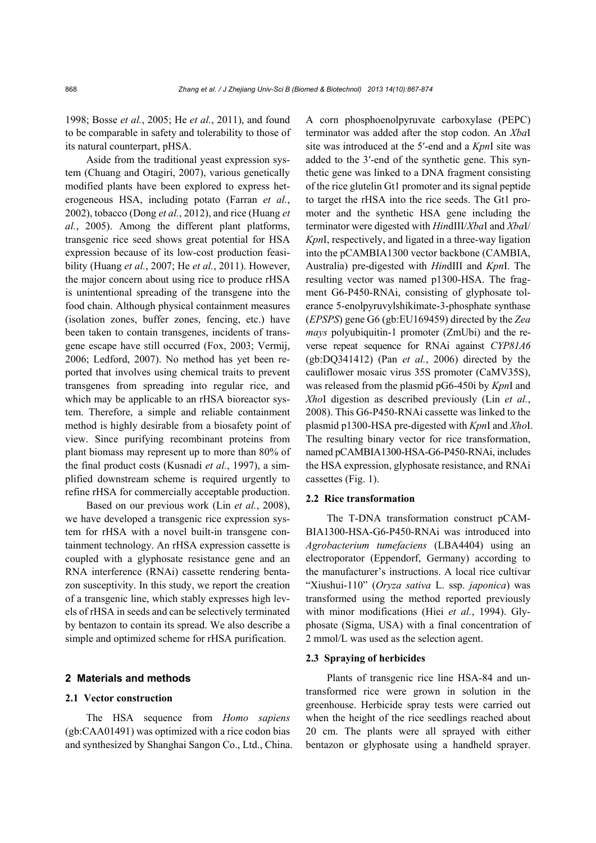1998; Bosse *et al.*, 2005; He *et al.*, 2011), and found to be comparable in safety and tolerability to those of its natural counterpart, pHSA.

Aside from the traditional yeast expression system (Chuang and Otagiri, 2007), various genetically modified plants have been explored to express heterogeneous HSA, including potato (Farran *et al.*, 2002), tobacco (Dong *et al.*, 2012), and rice (Huang *et al.*, 2005). Among the different plant platforms, transgenic rice seed shows great potential for HSA expression because of its low-cost production feasibility (Huang *et al.*, 2007; He *et al.*, 2011). However, the major concern about using rice to produce rHSA is unintentional spreading of the transgene into the food chain. Although physical containment measures (isolation zones, buffer zones, fencing, etc.) have been taken to contain transgenes, incidents of transgene escape have still occurred (Fox, 2003; Vermij, 2006; Ledford, 2007). No method has yet been reported that involves using chemical traits to prevent transgenes from spreading into regular rice, and which may be applicable to an rHSA bioreactor system. Therefore, a simple and reliable containment method is highly desirable from a biosafety point of view. Since purifying recombinant proteins from plant biomass may represent up to more than 80% of the final product costs (Kusnadi *et al.*, 1997), a simplified downstream scheme is required urgently to refine rHSA for commercially acceptable production.

Based on our previous work (Lin *et al.*, 2008), we have developed a transgenic rice expression system for rHSA with a novel built-in transgene containment technology. An rHSA expression cassette is coupled with a glyphosate resistance gene and an RNA interference (RNAi) cassette rendering bentazon susceptivity. In this study, we report the creation of a transgenic line, which stably expresses high levels of rHSA in seeds and can be selectively terminated by bentazon to contain its spread. We also describe a simple and optimized scheme for rHSA purification.

## **2 Materials and methods**

#### **2.1 Vector construction**

The HSA sequence from *Homo sapiens* (gb:CAA01491) was optimized with a rice codon bias and synthesized by Shanghai Sangon Co., Ltd., China. A corn phosphoenolpyruvate carboxylase (PEPC) terminator was added after the stop codon. An *Xba*I site was introduced at the 5′-end and a *Kpn*I site was added to the 3′-end of the synthetic gene. This synthetic gene was linked to a DNA fragment consisting of the rice glutelin Gt1 promoter and its signal peptide to target the rHSA into the rice seeds. The Gt1 promoter and the synthetic HSA gene including the terminator were digested with *Hin*dIII/*Xba*I and *Xba*I/ *Kpn*I, respectively, and ligated in a three-way ligation into the pCAMBIA1300 vector backbone (CAMBIA, Australia) pre-digested with *Hin*dIII and *Kpn*I. The resulting vector was named p1300-HSA. The fragment G6-P450-RNAi, consisting of glyphosate tolerance 5-enolpyruvylshikimate-3-phosphate synthase (*EPSPS*) gene G6 (gb:EU169459) directed by the *Zea mays* polyubiquitin-1 promoter (ZmUbi) and the reverse repeat sequence for RNAi against *CYP81A6* (gb:DQ341412) (Pan *et al.*, 2006) directed by the cauliflower mosaic virus 35S promoter (CaMV35S), was released from the plasmid pG6-450i by *Kpn*I and *Xho*I digestion as described previously (Lin *et al.*, 2008). This G6-P450-RNAi cassette was linked to the plasmid p1300-HSA pre-digested with *Kpn*I and *Xho*I. The resulting binary vector for rice transformation, named pCAMBIA1300-HSA-G6-P450-RNAi, includes the HSA expression, glyphosate resistance, and RNAi cassettes (Fig. 1).

## **2.2 Rice transformation**

The T-DNA transformation construct pCAM-BIA1300-HSA-G6-P450-RNAi was introduced into *Agrobacterium tumefaciens* (LBA4404) using an electroporator (Eppendorf, Germany) according to the manufacturer's instructions. A local rice cultivar "Xiushui-110" (*Oryza sativa* L. ssp. *japonica*) was transformed using the method reported previously with minor modifications (Hiei *et al.*, 1994). Glyphosate (Sigma, USA) with a final concentration of 2 mmol/L was used as the selection agent.

### **2.3 Spraying of herbicides**

Plants of transgenic rice line HSA-84 and untransformed rice were grown in solution in the greenhouse. Herbicide spray tests were carried out when the height of the rice seedlings reached about 20 cm. The plants were all sprayed with either bentazon or glyphosate using a handheld sprayer.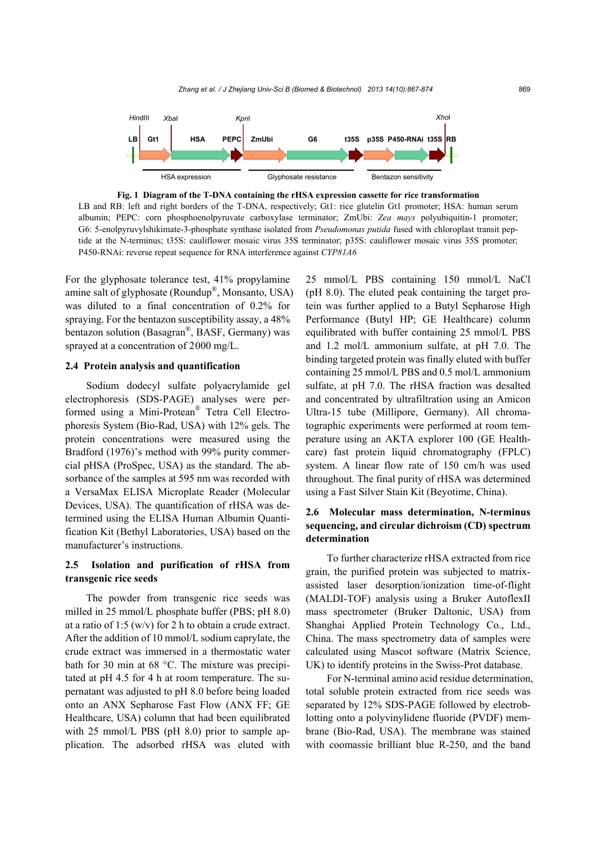

**Fig. 1 Diagram of the T-DNA containing the rHSA expression cassette for rice transformation**  LB and RB: left and right borders of the T-DNA, respectively; Gt1: rice glutelin Gt1 promoter; HSA: human serum albumin; PEPC: corn phosphoenolpyruvate carboxylase terminator; ZmUbi: *Zea mays* polyubiquitin-1 promoter; G6: 5-enolpyruvylshikimate-3-phosphate synthase isolated from *Pseudomonas putida* fused with chloroplast transit peptide at the N-terminus; t35S: cauliflower mosaic virus 35S terminator; p35S: cauliflower mosaic virus 35S promoter; P450-RNAi: reverse repeat sequence for RNA interference against *CYP81A6*

For the glyphosate tolerance test, 41% propylamine amine salt of glyphosate (Roundup®, Monsanto, USA) was diluted to a final concentration of 0.2% for spraying. For the bentazon susceptibility assay, a 48% bentazon solution (Basagran®, BASF, Germany) was sprayed at a concentration of 2000 mg/L.

## **2.4 Protein analysis and quantification**

Sodium dodecyl sulfate polyacrylamide gel electrophoresis (SDS-PAGE) analyses were performed using a Mini-Protean® Tetra Cell Electrophoresis System (Bio-Rad, USA) with 12% gels. The protein concentrations were measured using the Bradford (1976)'s method with 99% purity commercial pHSA (ProSpec, USA) as the standard. The absorbance of the samples at 595 nm was recorded with a VersaMax ELISA Microplate Reader (Molecular Devices, USA). The quantification of rHSA was determined using the ELISA Human Albumin Quantification Kit (Bethyl Laboratories, USA) based on the manufacturer's instructions.

# **2.5 Isolation and purification of rHSA from transgenic rice seeds**

The powder from transgenic rice seeds was milled in 25 mmol/L phosphate buffer (PBS; pH 8.0) at a ratio of 1:5 (w/v) for 2 h to obtain a crude extract. After the addition of 10 mmol/L sodium caprylate, the crude extract was immersed in a thermostatic water bath for 30 min at 68 °C. The mixture was precipitated at pH 4.5 for 4 h at room temperature. The supernatant was adjusted to pH 8.0 before being loaded onto an ANX Sepharose Fast Flow (ANX FF; GE Healthcare, USA) column that had been equilibrated with 25 mmol/L PBS (pH 8.0) prior to sample application. The adsorbed rHSA was eluted with

25 mmol/L PBS containing 150 mmol/L NaCl (pH 8.0). The eluted peak containing the target protein was further applied to a Butyl Sepharose High Performance (Butyl HP; GE Healthcare) column equilibrated with buffer containing 25 mmol/L PBS and 1.2 mol/L ammonium sulfate, at pH 7.0. The binding targeted protein was finally eluted with buffer containing 25 mmol/L PBS and 0.5 mol/L ammonium sulfate, at pH 7.0. The rHSA fraction was desalted and concentrated by ultrafiltration using an Amicon Ultra-15 tube (Millipore, Germany). All chromatographic experiments were performed at room temperature using an AKTA explorer 100 (GE Healthcare) fast protein liquid chromatography (FPLC) system. A linear flow rate of 150 cm/h was used throughout. The final purity of rHSA was determined using a Fast Silver Stain Kit (Beyotime, China).

# **2.6 Molecular mass determination, N-terminus sequencing, and circular dichroism (CD) spectrum determination**

To further characterize rHSA extracted from rice grain, the purified protein was subjected to matrixassisted laser desorption/ionization time-of-flight (MALDI-TOF) analysis using a Bruker AutoflexII mass spectrometer (Bruker Daltonic, USA) from Shanghai Applied Protein Technology Co., Ltd., China. The mass spectrometry data of samples were calculated using Mascot software (Matrix Science, UK) to identify proteins in the Swiss-Prot database.

For N-terminal amino acid residue determination, total soluble protein extracted from rice seeds was separated by 12% SDS-PAGE followed by electroblotting onto a polyvinylidene fluoride (PVDF) membrane (Bio-Rad, USA). The membrane was stained with coomassie brilliant blue R-250, and the band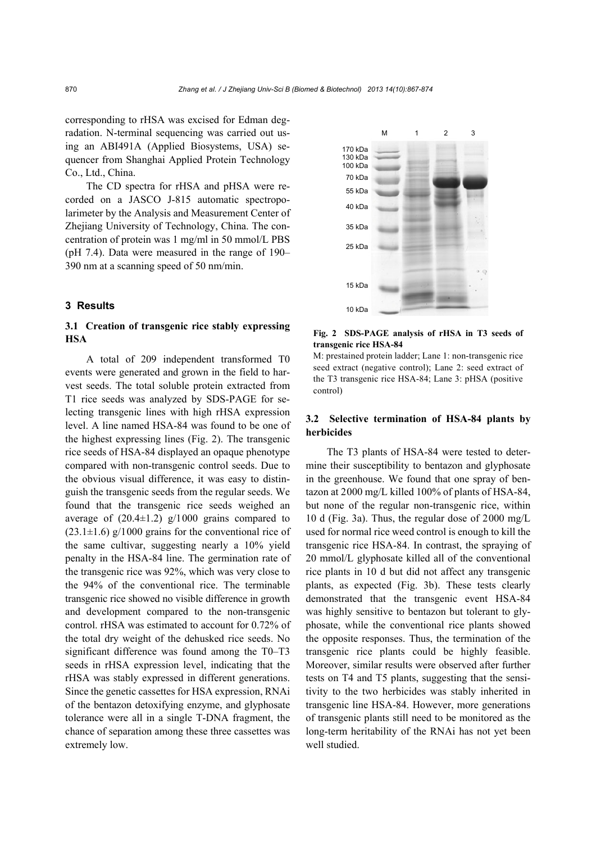corresponding to rHSA was excised for Edman degradation. N-terminal sequencing was carried out using an ABI491A (Applied Biosystems, USA) sequencer from Shanghai Applied Protein Technology Co., Ltd., China.

The CD spectra for rHSA and pHSA were recorded on a JASCO J-815 automatic spectropolarimeter by the Analysis and Measurement Center of Zhejiang University of Technology, China. The concentration of protein was 1 mg/ml in 50 mmol/L PBS (pH 7.4). Data were measured in the range of 190– 390 nm at a scanning speed of 50 nm/min.

## **3 Results**

# **3.1 Creation of transgenic rice stably expressing HSA**

A total of 209 independent transformed T0 events were generated and grown in the field to harvest seeds. The total soluble protein extracted from T1 rice seeds was analyzed by SDS-PAGE for selecting transgenic lines with high rHSA expression level. A line named HSA-84 was found to be one of the highest expressing lines (Fig. 2). The transgenic rice seeds of HSA-84 displayed an opaque phenotype compared with non-transgenic control seeds. Due to the obvious visual difference, it was easy to distinguish the transgenic seeds from the regular seeds. We found that the transgenic rice seeds weighed an average of  $(20.4\pm1.2)$  g/1000 grains compared to  $(23.1\pm1.6)$  g/1000 grains for the conventional rice of the same cultivar, suggesting nearly a 10% yield penalty in the HSA-84 line. The germination rate of the transgenic rice was 92%, which was very close to the 94% of the conventional rice. The terminable transgenic rice showed no visible difference in growth and development compared to the non-transgenic control. rHSA was estimated to account for 0.72% of the total dry weight of the dehusked rice seeds. No significant difference was found among the T0–T3 seeds in rHSA expression level, indicating that the rHSA was stably expressed in different generations. Since the genetic cassettes for HSA expression, RNAi of the bentazon detoxifying enzyme, and glyphosate tolerance were all in a single T-DNA fragment, the chance of separation among these three cassettes was extremely low.



**Fig. 2 SDS-PAGE analysis of rHSA in T3 seeds of transgenic rice HSA-84** 

M: prestained protein ladder; Lane 1: non-transgenic rice seed extract (negative control); Lane 2: seed extract of the T3 transgenic rice HSA-84; Lane 3: pHSA (positive control)

# **3.2 Selective termination of HSA-84 plants by herbicides**

The T3 plants of HSA-84 were tested to determine their susceptibility to bentazon and glyphosate in the greenhouse. We found that one spray of bentazon at 2000 mg/L killed 100% of plants of HSA-84, but none of the regular non-transgenic rice, within 10 d (Fig. 3a). Thus, the regular dose of 2000 mg/L used for normal rice weed control is enough to kill the transgenic rice HSA-84. In contrast, the spraying of 20 mmol/L glyphosate killed all of the conventional rice plants in 10 d but did not affect any transgenic plants, as expected (Fig. 3b). These tests clearly demonstrated that the transgenic event HSA-84 was highly sensitive to bentazon but tolerant to glyphosate, while the conventional rice plants showed the opposite responses. Thus, the termination of the transgenic rice plants could be highly feasible. Moreover, similar results were observed after further tests on T4 and T5 plants, suggesting that the sensitivity to the two herbicides was stably inherited in transgenic line HSA-84. However, more generations of transgenic plants still need to be monitored as the long-term heritability of the RNAi has not yet been well studied.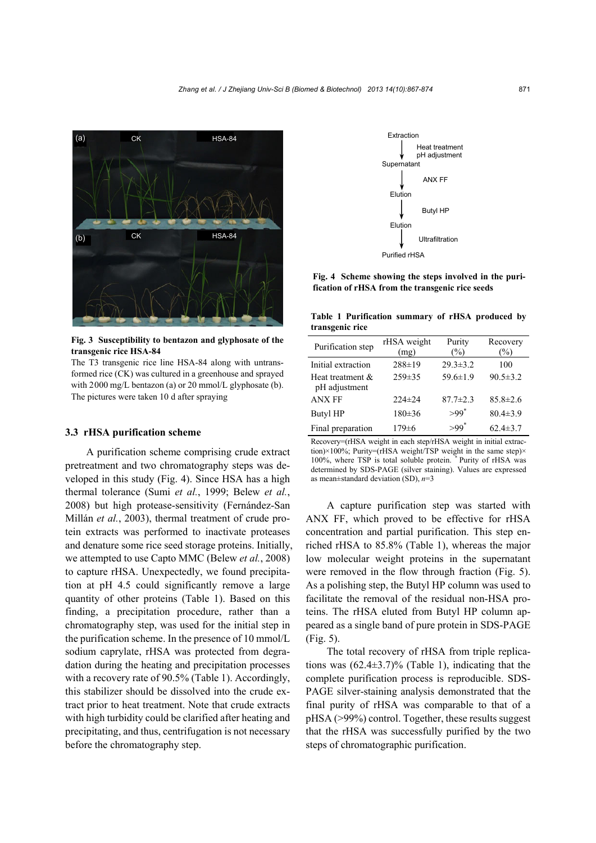

**Fig. 3 Susceptibility to bentazon and glyphosate of the transgenic rice HSA-84** 

The T3 transgenic rice line HSA-84 along with untransformed rice (CK) was cultured in a greenhouse and sprayed with 2000 mg/L bentazon (a) or 20 mmol/L glyphosate (b). The pictures were taken 10 d after spraying

## **3.3 rHSA purification scheme**

A purification scheme comprising crude extract pretreatment and two chromatography steps was developed in this study (Fig. 4). Since HSA has a high thermal tolerance (Sumi *et al.*, 1999; Belew *et al.*, 2008) but high protease-sensitivity (Fernández-San Millán *et al.*, 2003), thermal treatment of crude protein extracts was performed to inactivate proteases and denature some rice seed storage proteins. Initially, we attempted to use Capto MMC (Belew *et al.*, 2008) to capture rHSA. Unexpectedly, we found precipitation at pH 4.5 could significantly remove a large quantity of other proteins (Table 1). Based on this finding, a precipitation procedure, rather than a chromatography step, was used for the initial step in the purification scheme. In the presence of 10 mmol/L sodium caprylate, rHSA was protected from degradation during the heating and precipitation processes with a recovery rate of 90.5% (Table 1). Accordingly, this stabilizer should be dissolved into the crude extract prior to heat treatment. Note that crude extracts with high turbidity could be clarified after heating and precipitating, and thus, centrifugation is not necessary before the chromatography step.



**Fig. 4 Scheme showing the steps involved in the purification of rHSA from the transgenic rice seeds**

**Table 1 Purification summary of rHSA produced by transgenic rice**

| Purification step                 | rHSA weight<br>(mg) | Purity<br>(%)  | Recovery<br>(%) |
|-----------------------------------|---------------------|----------------|-----------------|
| Initial extraction                | $288 \pm 19$        | $29.3 \pm 3.2$ | 100             |
| Heat treatment &<br>pH adjustment | $259 \pm 35$        | $59.6 \pm 1.9$ | $90.5 \pm 3.2$  |
| <b>ANX FF</b>                     | $224\pm 24$         | $87.7 \pm 2.3$ | $85.8 \pm 2.6$  |
| <b>Butyl HP</b>                   | $180 \pm 36$        | $>99*$         | $80.4 \pm 3.9$  |
| Final preparation                 | $179 \pm 6$         | $>99*$         | $62.4 \pm 3.7$  |

Recovery=(rHSA weight in each step/rHSA weight in initial extraction)×100%; Purity=(rHSA weight/TSP weight in the same step)× 100%, where TSP is total soluble protein. Purity of rHSA was determined by SDS-PAGE (silver staining). Values are expressed as mean±standard deviation (SD), *n*=3

A capture purification step was started with ANX FF, which proved to be effective for rHSA concentration and partial purification. This step enriched rHSA to 85.8% (Table 1), whereas the major low molecular weight proteins in the supernatant were removed in the flow through fraction (Fig. 5). As a polishing step, the Butyl HP column was used to facilitate the removal of the residual non-HSA proteins. The rHSA eluted from Butyl HP column appeared as a single band of pure protein in SDS-PAGE (Fig. 5).

The total recovery of rHSA from triple replications was  $(62.4\pm3.7)\%$  (Table 1), indicating that the complete purification process is reproducible. SDS-PAGE silver-staining analysis demonstrated that the final purity of rHSA was comparable to that of a pHSA (>99%) control. Together, these results suggest that the rHSA was successfully purified by the two steps of chromatographic purification.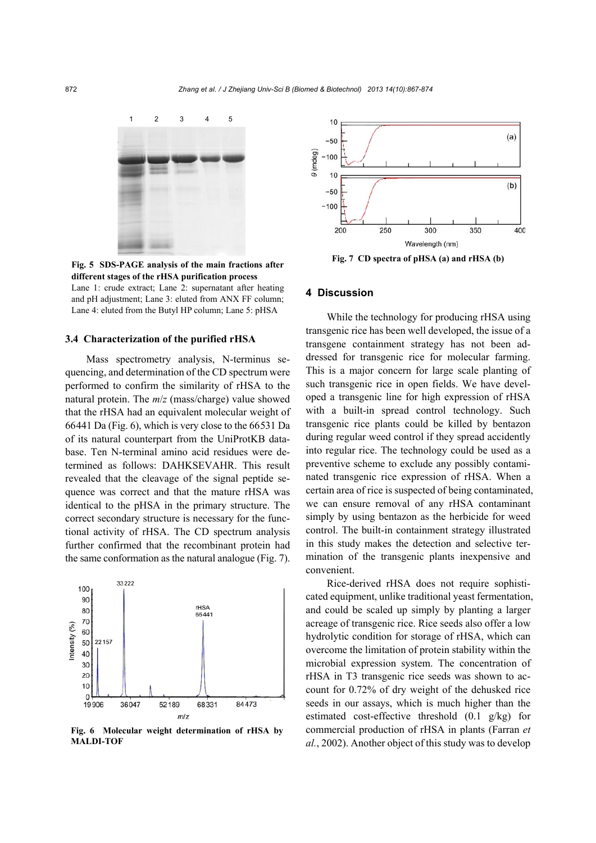

**Fig. 5 SDS-PAGE analysis of the main fractions after different stages of the rHSA purification process**  Lane 1: crude extract; Lane 2: supernatant after heating and pH adjustment; Lane 3: eluted from ANX FF column; Lane 4: eluted from the Butyl HP column; Lane 5: pHSA

## **3.4 Characterization of the purified rHSA**

Mass spectrometry analysis, N-terminus sequencing, and determination of the CD spectrum were performed to confirm the similarity of rHSA to the natural protein. The *m*/*z* (mass/charge) value showed that the rHSA had an equivalent molecular weight of 66441 Da (Fig. 6), which is very close to the 66531 Da of its natural counterpart from the UniProtKB database. Ten N-terminal amino acid residues were determined as follows: DAHKSEVAHR. This result revealed that the cleavage of the signal peptide sequence was correct and that the mature rHSA was identical to the pHSA in the primary structure. The correct secondary structure is necessary for the functional activity of rHSA. The CD spectrum analysis further confirmed that the recombinant protein had the same conformation as the natural analogue (Fig. 7).



**Fig. 6 Molecular weight determination of rHSA by MALDI-TOF**



**Fig. 7 CD spectra of pHSA (a) and rHSA (b)**

#### **4 Discussion**

While the technology for producing rHSA using transgenic rice has been well developed, the issue of a transgene containment strategy has not been addressed for transgenic rice for molecular farming. This is a major concern for large scale planting of such transgenic rice in open fields. We have developed a transgenic line for high expression of rHSA with a built-in spread control technology. Such transgenic rice plants could be killed by bentazon during regular weed control if they spread accidently into regular rice. The technology could be used as a preventive scheme to exclude any possibly contaminated transgenic rice expression of rHSA. When a certain area of rice is suspected of being contaminated, we can ensure removal of any rHSA contaminant simply by using bentazon as the herbicide for weed control. The built-in containment strategy illustrated in this study makes the detection and selective termination of the transgenic plants inexpensive and convenient.

Rice-derived rHSA does not require sophisticated equipment, unlike traditional yeast fermentation, and could be scaled up simply by planting a larger acreage of transgenic rice. Rice seeds also offer a low hydrolytic condition for storage of rHSA, which can overcome the limitation of protein stability within the microbial expression system. The concentration of rHSA in T3 transgenic rice seeds was shown to account for 0.72% of dry weight of the dehusked rice seeds in our assays, which is much higher than the estimated cost-effective threshold (0.1 g/kg) for commercial production of rHSA in plants (Farran *et al.*, 2002). Another object of this study was to develop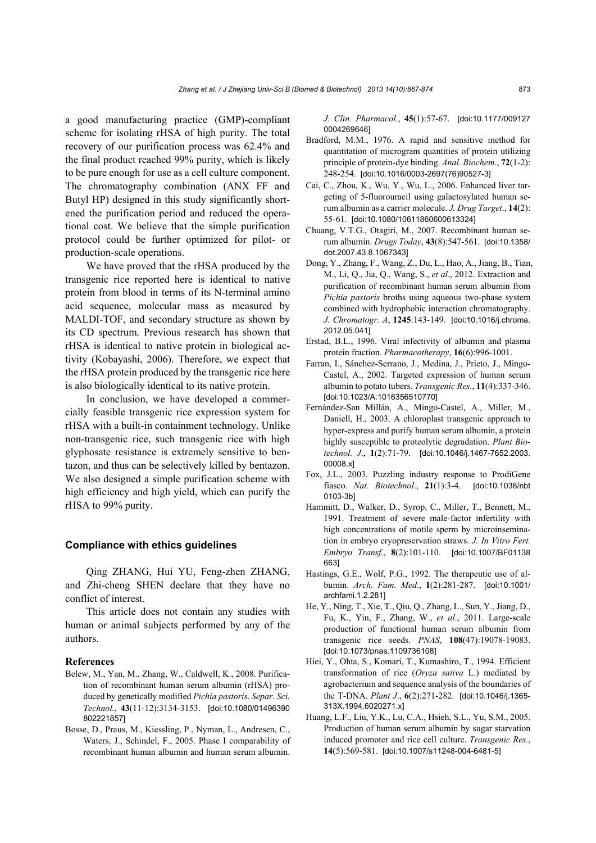a good manufacturing practice (GMP)-compliant scheme for isolating rHSA of high purity. The total recovery of our purification process was 62.4% and the final product reached 99% purity, which is likely to be pure enough for use as a cell culture component. The chromatography combination (ANX FF and Butyl HP) designed in this study significantly shortened the purification period and reduced the operational cost. We believe that the simple purification protocol could be further optimized for pilot- or production-scale operations.

We have proved that the rHSA produced by the transgenic rice reported here is identical to native protein from blood in terms of its N-terminal amino acid sequence, molecular mass as measured by MALDI-TOF, and secondary structure as shown by its CD spectrum. Previous research has shown that rHSA is identical to native protein in biological activity (Kobayashi, 2006). Therefore, we expect that the rHSA protein produced by the transgenic rice here is also biologically identical to its native protein.

In conclusion, we have developed a commercially feasible transgenic rice expression system for rHSA with a built-in containment technology. Unlike non-transgenic rice, such transgenic rice with high glyphosate resistance is extremely sensitive to bentazon, and thus can be selectively killed by bentazon. We also designed a simple purification scheme with high efficiency and high yield, which can purify the rHSA to 99% purity.

## **Compliance with ethics guidelines**

Qing ZHANG, Hui YU, Feng-zhen ZHANG, and Zhi-cheng SHEN declare that they have no conflict of interest.

This article does not contain any studies with human or animal subjects performed by any of the authors.

#### **References**

- Belew, M., Yan, M., Zhang, W., Caldwell, K., 2008. Purification of recombinant human serum albumin (rHSA) produced by genetically modified *Pichia pastoris*. *Separ. Sci. Technol.*, **43**(11-12):3134-3153. [doi:10.1080/01496390 802221857]
- Bosse, D., Praus, M., Kiessling, P., Nyman, L., Andresen, C., Waters, J., Schindel, F., 2005. Phase I comparability of recombinant human albumin and human serum albumin.

*J. Clin. Pharmacol*., **45**(1):57-67. [doi:10.1177/009127 0004269646]

- Bradford, M.M., 1976. A rapid and sensitive method for quantitation of microgram quantities of protein utilizing principle of protein-dye binding. *Anal. Biochem*., **72**(1-2): 248-254. [doi:10.1016/0003-2697(76)90527-3]
- Cai, C., Zhou, K., Wu, Y., Wu, L., 2006. Enhanced liver targeting of 5-fluorouracil using galactosylated human serum albumin as a carrier molecule. *J. Drug Target*., **14**(2): 55-61. [doi:10.1080/10611860600613324]
- Chuang, V.T.G., Otagiri, M., 2007. Recombinant human serum albumin. *Drugs Today*, **43**(8):547-561. [doi:10.1358/ dot.2007.43.8.1067343]
- Dong, Y., Zhang, F., Wang, Z., Du, L., Hao, A., Jiang, B., Tian, M., Li, Q., Jia, Q., Wang, S., *et al*., 2012. Extraction and purification of recombinant human serum albumin from *Pichia pastoris* broths using aqueous two-phase system combined with hydrophobic interaction chromatography. *J. Chromatogr. A*, **1245**:143-149. [doi:10.1016/j.chroma. 2012.05.041]
- Erstad, B.L., 1996. Viral infectivity of albumin and plasma protein fraction. *Pharmacotherapy*, **16**(6):996-1001.
- Farran, I., Sánchez-Serrano, J., Medina, J., Prieto, J., Mingo-Castel, A., 2002. Targeted expression of human serum albumin to potato tubers. *Transgenic Res.*, **11**(4):337-346. [doi:10.1023/A:1016356510770]
- Fernández-San Millán, A., Mingo-Castel, A., Miller, M., Daniell, H., 2003. A chloroplast transgenic approach to hyper-express and purify human serum albumin, a protein highly susceptible to proteolytic degradation. *Plant Biotechnol. J*., **1**(2):71-79. [doi:10.1046/j.1467-7652.2003. 00008.x]
- Fox, J.L., 2003. Puzzling industry response to ProdiGene fiasco. *Nat. Biotechnol*., **21**(1):3-4. [doi:10.1038/nbt 0103-3b]
- Hammitt, D., Walker, D., Syrop, C., Miller, T., Bennett, M., 1991. Treatment of severe male-factor infertility with high concentrations of motile sperm by microinsemination in embryo cryopreservation straws. *J. In Vitro Fert. Embryo Transf.*, **8**(2):101-110. [doi:10.1007/BF01138 663]
- Hastings, G.E., Wolf, P.G., 1992. The therapeutic use of albumin. *Arch. Fam. Med*., **1**(2):281-287. [doi:10.1001/ archfami.1.2.281]
- He, Y., Ning, T., Xie, T., Qiu, Q., Zhang, L., Sun, Y., Jiang, D., Fu, K., Yin, F., Zhang, W., *et al*., 2011. Large-scale production of functional human serum albumin from transgenic rice seeds. *PNAS*, **108**(47):19078-19083. [doi:10.1073/pnas.1109736108]
- Hiei, Y., Ohta, S., Komari, T., Kumashiro, T., 1994. Efficient transformation of rice (*Oryza sativa* L.) mediated by agrobacterium and sequence analysis of the boundaries of the T-DNA. *Plant J*., **6**(2):271-282. [doi:10.1046/j.1365- 313X.1994.6020271.x]
- Huang, L.F., Liu, Y.K., Lu, C.A., Hsieh, S.L., Yu, S.M., 2005. Production of human serum albumin by sugar starvation induced promoter and rice cell culture. *Transgenic Res.*, **14**(5):569-581. [doi:10.1007/s11248-004-6481-5]